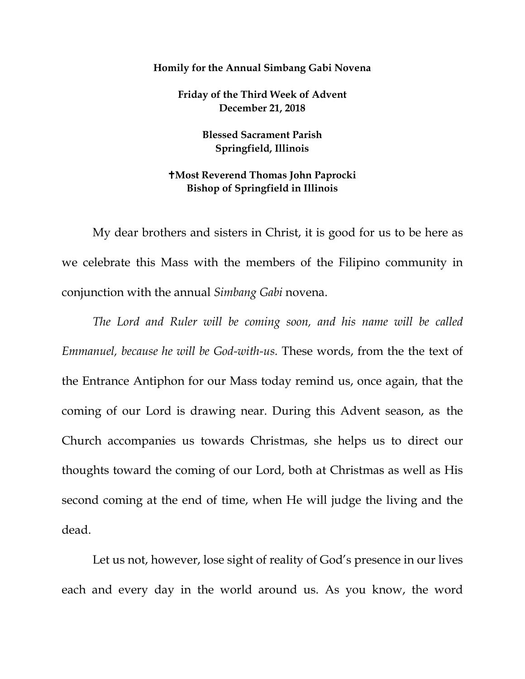## **Homily for the Annual Simbang Gabi Novena**

**Friday of the Third Week of Advent December 21, 2018**

> **Blessed Sacrament Parish Springfield, Illinois**

## **Most Reverend Thomas John Paprocki Bishop of Springfield in Illinois**

My dear brothers and sisters in Christ, it is good for us to be here as we celebrate this Mass with the members of the Filipino community in conjunction with the annual *Simbang Gabi* novena.

*The Lord and Ruler will be coming soon, and his name will be called Emmanuel, because he will be God-with-us.* These words, from the the text of the Entrance Antiphon for our Mass today remind us, once again, that the coming of our Lord is drawing near. During this Advent season, as the Church accompanies us towards Christmas, she helps us to direct our thoughts toward the coming of our Lord, both at Christmas as well as His second coming at the end of time, when He will judge the living and the dead.

Let us not, however, lose sight of reality of God's presence in our lives each and every day in the world around us. As you know, the word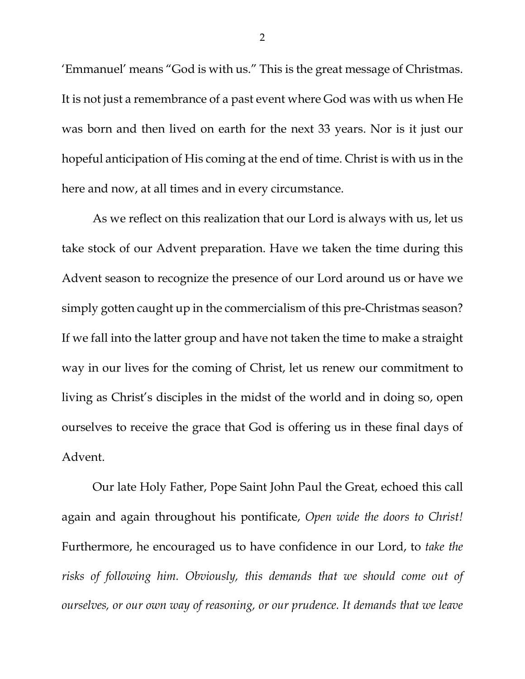'Emmanuel' means "God is with us." This is the great message of Christmas. It is not just a remembrance of a past event where God was with us when He was born and then lived on earth for the next 33 years. Nor is it just our hopeful anticipation of His coming at the end of time. Christ is with us in the here and now, at all times and in every circumstance.

As we reflect on this realization that our Lord is always with us, let us take stock of our Advent preparation. Have we taken the time during this Advent season to recognize the presence of our Lord around us or have we simply gotten caught up in the commercialism of this pre-Christmas season? If we fall into the latter group and have not taken the time to make a straight way in our lives for the coming of Christ, let us renew our commitment to living as Christ's disciples in the midst of the world and in doing so, open ourselves to receive the grace that God is offering us in these final days of Advent.

<span id="page-1-2"></span><span id="page-1-1"></span><span id="page-1-0"></span>Our late Holy Father, Pope Saint John Paul the Great, echoed this call again and again throughout his pontificate, *Open wide the doors to Christ!* Furthermore, he encouraged us to have confidence in our Lord, to *take the risks of following him. Obviously, this demands that we should come out of ourselves, or our own way of reasoning, or our prudence. It demands that we leave* 

2